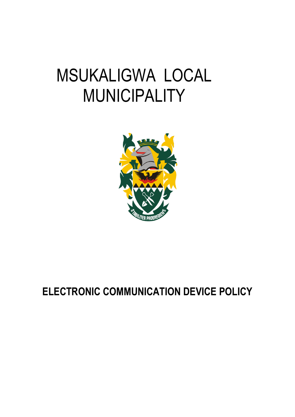# MSUKALIGWA LOCAL **MUNICIPALITY**



# **ELECTRONIC COMMUNICATION DEVICE POLICY**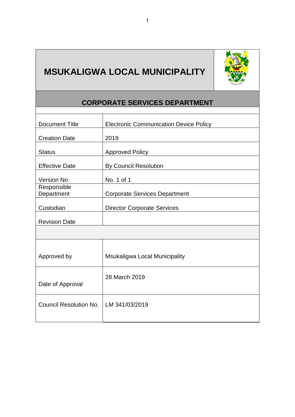

## **MSUKALIGWA LOCAL MUNICIPALITY**

### **CORPORATE SERVICES DEPARTMENT**

| <b>Document Title</b>                   | <b>Electronic Communication Device Policy</b> |  |  |
|-----------------------------------------|-----------------------------------------------|--|--|
| <b>Creation Date</b>                    | 2019                                          |  |  |
| <b>Status</b>                           | <b>Approved Policy</b>                        |  |  |
| <b>Effective Date</b>                   | <b>By Council Resolution</b>                  |  |  |
| <b>Version No</b>                       | No. 1 of 1                                    |  |  |
| Responsible<br>Department               | <b>Corporate Services Department</b>          |  |  |
| Custodian                               | <b>Director Corporate Services</b>            |  |  |
| <b>Revision Date</b>                    |                                               |  |  |
|                                         |                                               |  |  |
|                                         |                                               |  |  |
| Approved by                             | Msukaligwa Local Municipality                 |  |  |
|                                         | 28 March 2019                                 |  |  |
| Date of Approval                        |                                               |  |  |
| Council Resolution No.   LM 341/03/2019 |                                               |  |  |
|                                         |                                               |  |  |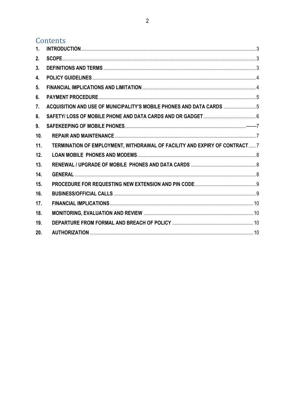### Contents

| 2.  |                                                                           |  |
|-----|---------------------------------------------------------------------------|--|
|     |                                                                           |  |
| 3.  |                                                                           |  |
| 4.  |                                                                           |  |
| 5.  |                                                                           |  |
| 6.  |                                                                           |  |
| 7.  | ACQUISITION AND USE OF MUNICIPALITY'S MOBILE PHONES AND DATA CARDS  5     |  |
| 8.  |                                                                           |  |
| 9.  |                                                                           |  |
| 10. |                                                                           |  |
| 11. | TERMINATION OF EMPLOYMENT, WITHDRAWAL OF FACILITY AND EXPIRY OF CONTRACT7 |  |
| 12. |                                                                           |  |
| 13. |                                                                           |  |
| 14. |                                                                           |  |
| 15. |                                                                           |  |
| 16. |                                                                           |  |
| 17. |                                                                           |  |
| 18. |                                                                           |  |
| 19. |                                                                           |  |
| 20. |                                                                           |  |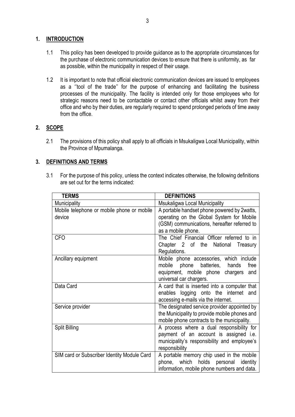#### <span id="page-3-0"></span>**1. INTRODUCTION**

- 1.1 This policy has been developed to provide guidance as to the appropriate circumstances for the purchase of electronic communication devices to ensure that there is uniformity, as far as possible, within the municipality in respect of their usage.
- 1.2 It is important to note that official electronic communication devices are issued to employees as a ''tool of the trade'' for the purpose of enhancing and facilitating the business processes of the municipality. The facility is intended only for those employees who for strategic reasons need to be contactable or contact other officials whilst away from their office and who by their duties, are regularly required to spend prolonged periods of time away from the office.

#### <span id="page-3-1"></span>**2. SCOPE**

2.1 The provisions of this policy shall apply to all officials in Msukaligwa Local Municipality, within the Province of Mpumalanga.

#### <span id="page-3-2"></span>**3. DEFINITIONS AND TERMS**

3.1 For the purpose of this policy, unless the context indicates otherwise, the following definitions are set out for the terms indicated:

| <b>TERMS</b>                                | <b>DEFINITIONS</b>                                    |  |
|---------------------------------------------|-------------------------------------------------------|--|
| <b>Municipality</b>                         | Msukaligwa Local Municipality                         |  |
| Mobile telephone or mobile phone or mobile  | A portable handset phone powered by 2watts,           |  |
| device                                      | operating on the Global System for Mobile             |  |
|                                             | (GSM) communications, hereafter referred to           |  |
|                                             | as a mobile phone.                                    |  |
| <b>CFO</b>                                  | The Chief Financial Officer referred to in            |  |
|                                             | Chapter 2 of the National<br>Treasury<br>Regulations. |  |
| Ancillary equipment                         | Mobile phone accessories, which include               |  |
|                                             | mobile<br>phone batteries, hands<br>free              |  |
|                                             | equipment, mobile phone chargers and                  |  |
|                                             | universal car chargers.                               |  |
| Data Card                                   | A card that is inserted into a computer that          |  |
|                                             | enables logging onto the internet and                 |  |
|                                             | accessing e-mails via the internet.                   |  |
| Service provider                            | The designated service provider appointed by          |  |
|                                             | the Municipality to provide mobile phones and         |  |
|                                             | mobile phone contracts to the municipality.           |  |
| <b>Split Billing</b>                        | A process where a dual responsibility for             |  |
|                                             | payment of an account is assigned i.e.                |  |
|                                             | municipality's responsibility and employee's          |  |
|                                             | responsibility                                        |  |
| SIM card or Subscriber Identity Module Card | A portable memory chip used in the mobile             |  |
|                                             | phone, which holds<br>personal identity               |  |
|                                             | information, mobile phone numbers and data.           |  |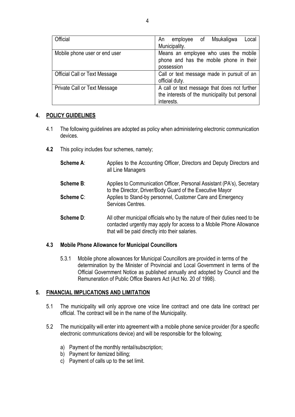| Official                             | employee of Msukaligwa<br>Local<br>An<br>Municipality.       |
|--------------------------------------|--------------------------------------------------------------|
| Mobile phone user or end user        | Means an employee who uses the mobile                        |
|                                      | phone and has the mobile phone in their                      |
|                                      | possession                                                   |
| <b>Official Call or Text Message</b> | Call or text message made in pursuit of an                   |
|                                      | official duty.                                               |
| Private Call or Text Message         | A call or text message that does not further                 |
|                                      | the interests of the municipality but personal<br>interests. |

#### <span id="page-4-0"></span>**4. POLICY GUIDELINES**

- 4.1 The following guidelines are adopted as policy when administering electronic communication devices.
- **4.2** This policy includes four schemes, namely;
	- **Scheme A:** Applies to the Accounting Officer, Directors and Deputy Directors and all Line Managers
	- **Scheme B:** Applies to Communication Officer, Personal Assistant (PA's), Secretary to the Director, Driver/Body Guard of the Executive Mayor **Scheme C:** Applies to Stand-by personnel, Customer Care and Emergency Services Centres.
	- **Scheme D:** All other municipal officials who by the nature of their duties need to be contacted urgently may apply for access to a Mobile Phone Allowance that will be paid directly into their salaries.

#### **4.3 Mobile Phone Allowance for Municipal Councillors**

5.3.1 Mobile phone allowances for Municipal Councillors are provided in terms of the determination by the Minister of Provincial and Local Government in terms of the Official Government Notice as published annually and adopted by Council and the Remuneration of Public Office Bearers Act (Act No. 20 of 1998).

#### <span id="page-4-1"></span>**5. FINANCIAL IMPLICATIONS AND LIMITATION**

- 5.1 The municipality will only approve one voice line contract and one data line contract per official. The contract will be in the name of the Municipality.
- 5.2 The municipality will enter into agreement with a mobile phone service provider (for a specific electronic communications device) and will be responsible for the following;
	- a) Payment of the monthly rental/subscription;
	- b) Payment for itemized billing;
	- c) Payment of calls up to the set limit.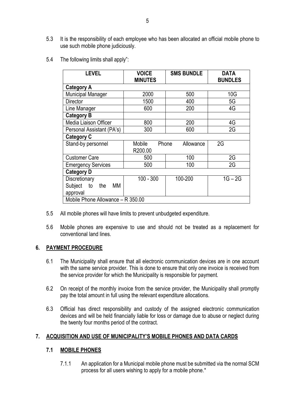- 5.3 It is the responsibility of each employee who has been allocated an official mobile phone to use such mobile phone judiciously.
- 5.4 The following limits shall apply":

| <b>LEVEL</b>                                            | <b>VOICE</b><br><b>MINUTES</b> | <b>SMS BUNDLE</b> | <b>DATA</b><br><b>BUNDLES</b> |  |
|---------------------------------------------------------|--------------------------------|-------------------|-------------------------------|--|
| <b>Category A</b>                                       |                                |                   |                               |  |
| <b>Municipal Manager</b>                                | 2000                           | 500               | 10G                           |  |
| <b>Director</b>                                         | 1500                           | 400               | 5G                            |  |
| Line Manager                                            | 600                            | 200               | 4G                            |  |
| <b>Category B</b>                                       |                                |                   |                               |  |
| Media Liaison Officer                                   | 800                            | 200               | 4G                            |  |
| Personal Assistant (PA's)                               | 300                            | 600               | 2G                            |  |
| <b>Category C</b>                                       |                                |                   |                               |  |
| Stand-by personnel                                      | Mobile<br>Phone<br>R200.00     | Allowance         | 2G                            |  |
| <b>Customer Care</b>                                    | 500                            | 100               | 2G                            |  |
| <b>Emergency Services</b>                               | 500                            | 100               | 2G                            |  |
| <b>Category D</b>                                       |                                |                   |                               |  |
| Discretionary<br>Subject<br>МM<br>to<br>the<br>approval | $100 - 300$                    | 100-200           | $1G - 2G$                     |  |
| Mobile Phone Allowance - R 350.00                       |                                |                   |                               |  |

- 5.5 All mobile phones will have limits to prevent unbudgeted expenditure.
- 5.6 Mobile phones are expensive to use and should not be treated as a replacement for conventional land lines.

#### <span id="page-5-0"></span>**6. PAYMENT PROCEDURE**

- 6.1 The Municipality shall ensure that all electronic communication devices are in one account with the same service provider. This is done to ensure that only one invoice is received from the service provider for which the Municipality is responsible for payment.
- 6.2 On receipt of the monthly invoice from the service provider, the Municipality shall promptly pay the total amount in full using the relevant expenditure allocations.
- 6.3 Official has direct responsibility and custody of the assigned electronic communication devices and will be held financially liable for loss or damage due to abuse or neglect during the twenty four months period of the contract.

#### <span id="page-5-1"></span>**7. ACQUISITION AND USE OF MUNICIPALITY'S MOBILE PHONES AND DATA CARDS**

#### **7.1 MOBILE PHONES**

7.1.1 An application for a Municipal mobile phone must be submitted via the normal SCM process for all users wishing to apply for a mobile phone.\*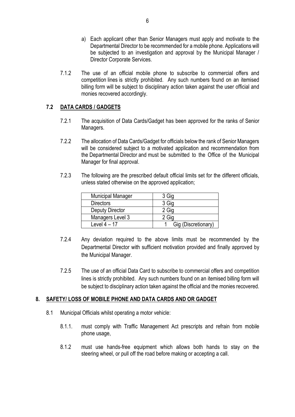- a) Each applicant other than Senior Managers must apply and motivate to the Departmental Director to be recommended for a mobile phone. Applications will be subjected to an investigation and approval by the Municipal Manager / Director Corporate Services.
- 7.1.2 The use of an official mobile phone to subscribe to commercial offers and competition lines is strictly prohibited. Any such numbers found on an itemised billing form will be subject to disciplinary action taken against the user official and monies recovered accordingly.

#### **7.2 DATA CARDS / GADGETS**

- 7.2.1 The acquisition of Data Cards/Gadget has been approved for the ranks of Senior Managers.
- 7.2.2 The allocation of Data Cards/Gadget for officials below the rank of Senior Managers will be considered subject to a motivated application and recommendation from the Departmental Director and must be submitted to the Office of the Municipal Manager for final approval.
- 7.2.3 The following are the prescribed default official limits set for the different officials, unless stated otherwise on the approved application;

| <b>Municipal Manager</b> | 3 Gig               |
|--------------------------|---------------------|
| <b>Directors</b>         | 3 Gig               |
| Deputy Director          | 2 Gig               |
| Managers Level 3         | Gig                 |
| Level $4-17$             | Gig (Discretionary) |

- 7.2.4 Any deviation required to the above limits must be recommended by the Departmental Director with sufficient motivation provided and finally approved by the Municipal Manager.
- 7.2.5 The use of an official Data Card to subscribe to commercial offers and competition lines is strictly prohibited. Any such numbers found on an itemised billing form will be subject to disciplinary action taken against the official and the monies recovered.

#### <span id="page-6-0"></span>**8. SAFETY/ LOSS OF MOBILE PHONE AND DATA CARDS AND OR GADGET**

- 8.1 Municipal Officials whilst operating a motor vehicle:
	- 8.1.1. must comply with Traffic Management Act prescripts and refrain from mobile phone usage,
	- 8.1.2 must use hands-free equipment which allows both hands to stay on the steering wheel, or pull off the road before making or accepting a call.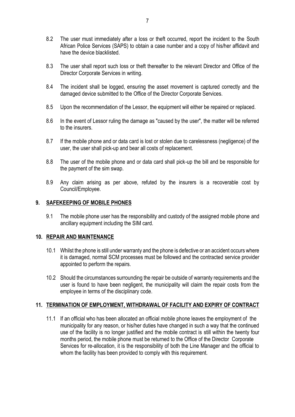- 8.2 The user must immediately after a loss or theft occurred, report the incident to the South African Police Services (SAPS) to obtain a case number and a copy of his/her affidavit and have the device blacklisted.
- 8.3 The user shall report such loss or theft thereafter to the relevant Director and Office of the Director Corporate Services in writing.
- 8.4 The incident shall be logged, ensuring the asset movement is captured correctly and the damaged device submitted to the Office of the Director Corporate Services.
- 8.5 Upon the recommendation of the Lessor, the equipment will either be repaired or replaced.
- 8.6 In the event of Lessor ruling the damage as "caused by the user", the matter will be referred to the insurers.
- 8.7 If the mobile phone and or data card is lost or stolen due to carelessness (negligence) of the user, the user shall pick-up and bear all costs of replacement.
- 8.8 The user of the mobile phone and or data card shall pick-up the bill and be responsible for the payment of the sim swap.
- 8.9 Any claim arising as per above, refuted by the insurers is a recoverable cost by Council/Employee.

#### <span id="page-7-0"></span>**9. SAFEKEEPING OF MOBILE PHONES**

9.1 The mobile phone user has the responsibility and custody of the assigned mobile phone and ancillary equipment including the SIM card.

#### <span id="page-7-1"></span>**10. REPAIR AND MAINTENANCE**

- 10.1 Whilst the phone is still under warranty and the phone is defective or an accident occurs where it is damaged, normal SCM processes must be followed and the contracted service provider appointed to perform the repairs.
- 10.2 Should the circumstances surrounding the repair be outside of warranty requirements and the user is found to have been negligent, the municipality will claim the repair costs from the employee in terms of the disciplinary code.

#### <span id="page-7-2"></span>**11. TERMINATION OF EMPLOYMENT, WITHDRAWAL OF FACILITY AND EXPIRY OF CONTRACT**

11.1 If an official who has been allocated an official mobile phone leaves the employment of the municipality for any reason, or his/her duties have changed in such a way that the continued use of the facility is no longer justified and the mobile contract is still within the twenty four months period, the mobile phone must be returned to the Office of the Director Corporate Services for re-allocation, it is the responsibility of both the Line Manager and the official to whom the facility has been provided to comply with this requirement.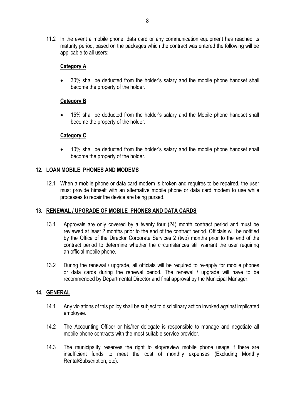11.2 In the event a mobile phone, data card or any communication equipment has reached its maturity period, based on the packages which the contract was entered the following will be applicable to all users:

#### **Category A**

 30% shall be deducted from the holder's salary and the mobile phone handset shall become the property of the holder.

#### **Category B**

 15% shall be deducted from the holder's salary and the Mobile phone handset shall become the property of the holder.

#### **Category C**

 10% shall be deducted from the holder's salary and the mobile phone handset shall become the property of the holder.

#### <span id="page-8-0"></span>**12. LOAN MOBILE PHONES AND MODEMS**

12.1 When a mobile phone or data card modem is broken and requires to be repaired, the user must provide himself with an alternative mobile phone or data card modem to use while processes to repair the device are being pursed.

#### <span id="page-8-1"></span>**13. RENEWAL / UPGRADE OF MOBILE PHONES AND DATA CARDS**

- 13.1 Approvals are only covered by a twenty four (24) month contract period and must be reviewed at least 2 months prior to the end of the contract period. Officials will be notified by the Office of the Director Corporate Services 2 (two) months prior to the end of the contract period to determine whether the circumstances still warrant the user requiring an official mobile phone.
- 13.2 During the renewal / upgrade, all officials will be required to re-apply for mobile phones or data cards during the renewal period. The renewal / upgrade will have to be recommended by Departmental Director and final approval by the Municipal Manager.

#### <span id="page-8-2"></span>**14. GENERAL**

- 14.1 Any violations of this policy shall be subject to disciplinary action invoked against implicated employee.
- 14.2 The Accounting Officer or his/her delegate is responsible to manage and negotiate all mobile phone contracts with the most suitable service provider.
- 14.3 The municipality reserves the right to stop/review mobile phone usage if there are insufficient funds to meet the cost of monthly expenses (Excluding Monthly Rental/Subscription, etc).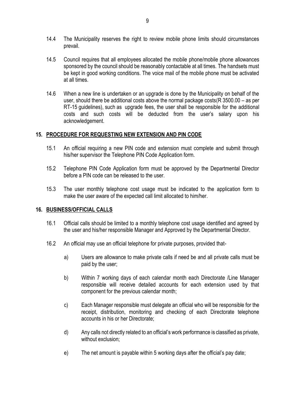- 14.4 The Municipality reserves the right to review mobile phone limits should circumstances prevail.
- 14.5 Council requires that all employees allocated the mobile phone/mobile phone allowances sponsored by the council should be reasonably contactable at all times. The handsets must be kept in good working conditions. The voice mail of the mobile phone must be activated at all times.
- 14.6 When a new line is undertaken or an upgrade is done by the Municipality on behalf of the user, should there be additional costs above the normal package costs(R 3500.00 – as per RT-15 guidelines), such as upgrade fees, the user shall be responsible for the additional costs and such costs will be deducted from the user's salary upon his acknowledgement.

#### <span id="page-9-0"></span>**15. PROCEDURE FOR REQUESTING NEW EXTENSION AND PIN CODE**

- 15.1 An official requiring a new PIN code and extension must complete and submit through his/her supervisor the Telephone PIN Code Application form.
- 15.2 Telephone PIN Code Application form must be approved by the Departmental Director before a PIN code can be released to the user.
- 15.3 The user monthly telephone cost usage must be indicated to the application form to make the user aware of the expected call limit allocated to him/her.

#### <span id="page-9-1"></span>**16. BUSINESS/OFFICIAL CALLS**

- 16.1 Official calls should be limited to a monthly telephone cost usage identified and agreed by the user and his/her responsible Manager and Approved by the Departmental Director.
- 16.2 An official may use an official telephone for private purposes, provided that
	- a) Users are allowance to make private calls if need be and all private calls must be paid by the user;
	- b) Within 7 working days of each calendar month each Directorate /Line Manager responsible will receive detailed accounts for each extension used by that component for the previous calendar month;
	- c) Each Manager responsible must delegate an official who will be responsible for the receipt, distribution, monitoring and checking of each Directorate telephone accounts in his or her Directorate;
	- d) Any calls not directly related to an official's work performance is classified as private, without exclusion;
	- e) The net amount is payable within 5 working days after the official's pay date;